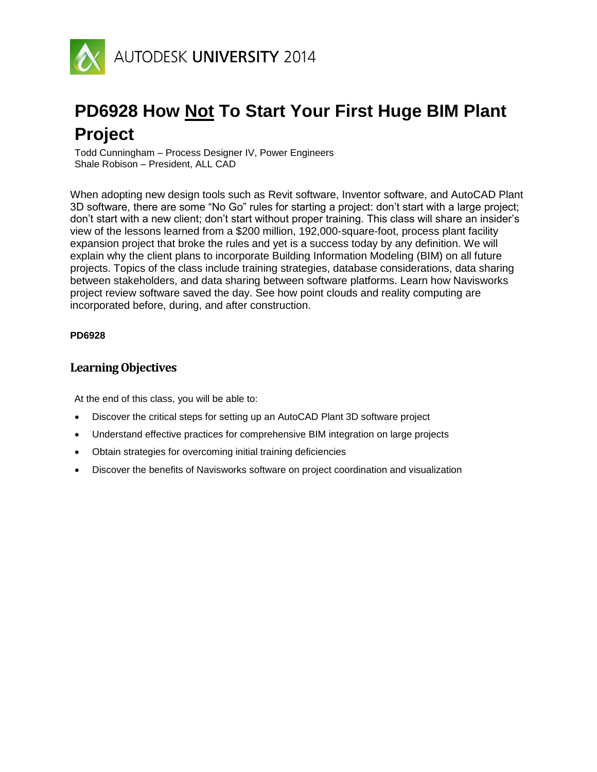

# **PD6928 How Not To Start Your First Huge BIM Plant Project**

Todd Cunningham – Process Designer IV, Power Engineers Shale Robison – President, ALL CAD

When adopting new design tools such as Revit software, Inventor software, and AutoCAD Plant 3D software, there are some "No Go" rules for starting a project: don't start with a large project; don't start with a new client; don't start without proper training. This class will share an insider's view of the lessons learned from a \$200 million, 192,000-square-foot, process plant facility expansion project that broke the rules and yet is a success today by any definition. We will explain why the client plans to incorporate Building Information Modeling (BIM) on all future projects. Topics of the class include training strategies, database considerations, data sharing between stakeholders, and data sharing between software platforms. Learn how Navisworks project review software saved the day. See how point clouds and reality computing are incorporated before, during, and after construction.

#### **PD6928**

#### **Learning Objectives**

At the end of this class, you will be able to:

- Discover the critical steps for setting up an AutoCAD Plant 3D software project
- Understand effective practices for comprehensive BIM integration on large projects
- Obtain strategies for overcoming initial training deficiencies
- Discover the benefits of Navisworks software on project coordination and visualization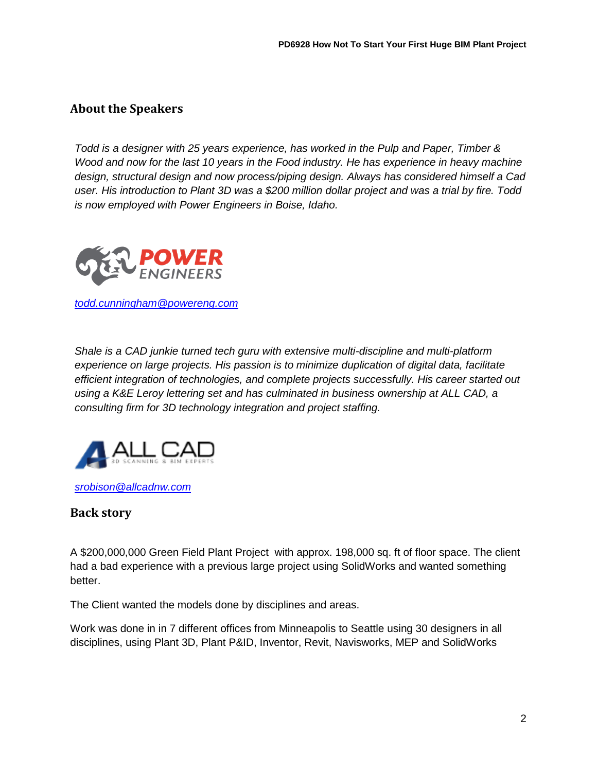## **About the Speakers**

*Todd is a designer with 25 years experience, has worked in the Pulp and Paper, Timber & Wood and now for the last 10 years in the Food industry. He has experience in heavy machine design, structural design and now process/piping design. Always has considered himself a Cad user. His introduction to Plant 3D was a \$200 million dollar project and was a trial by fire. Todd is now employed with Power Engineers in Boise, Idaho.*



*[todd.cunningham@powereng.com](mailto:todd.cunningham@powereng.com)*

*Shale is a CAD junkie turned tech guru with extensive multi-discipline and multi-platform experience on large projects. His passion is to minimize duplication of digital data, facilitate efficient integration of technologies, and complete projects successfully. His career started out using a K&E Leroy lettering set and has culminated in business ownership at ALL CAD, a consulting firm for 3D technology integration and project staffing.*



*[srobison@allcadnw.com](mailto:srobison@allcadnw.com)*

### **Back story**

A \$200,000,000 Green Field Plant Project with approx. 198,000 sq. ft of floor space. The client had a bad experience with a previous large project using SolidWorks and wanted something better.

The Client wanted the models done by disciplines and areas.

Work was done in in 7 different offices from Minneapolis to Seattle using 30 designers in all disciplines, using Plant 3D, Plant P&ID, Inventor, Revit, Navisworks, MEP and SolidWorks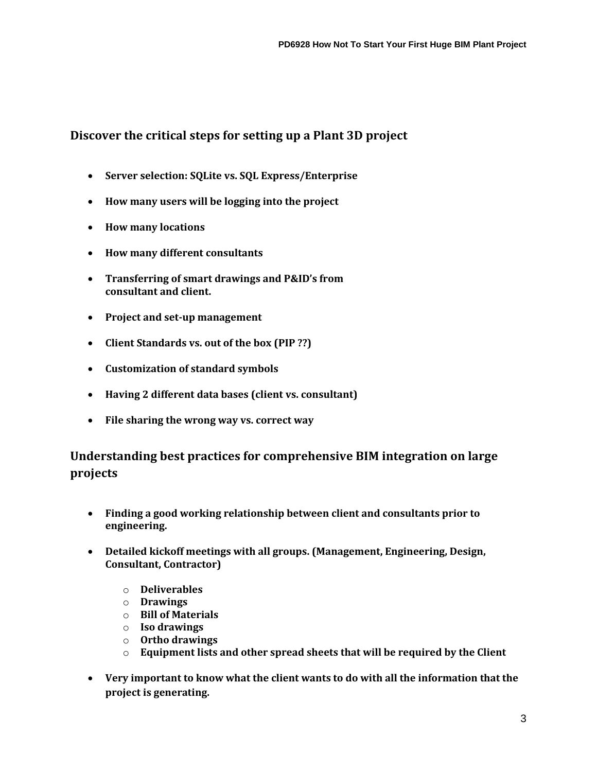## **Discover the critical steps for setting up a Plant 3D project**

- **Server selection: SQLite vs. SQL Express/Enterprise**
- **How many users will be logging into the project**
- **How many locations**
- **How many different consultants**
- **Transferring of smart drawings and P&ID's from consultant and client.**
- **Project and set-up management**
- **Client Standards vs. out of the box (PIP ??)**
- **Customization of standard symbols**
- **Having 2 different data bases (client vs. consultant)**
- **File sharing the wrong way vs. correct way**

## **Understanding best practices for comprehensive BIM integration on large projects**

- **Finding a good working relationship between client and consultants prior to engineering.**
- **Detailed kickoff meetings with all groups. (Management, Engineering, Design, Consultant, Contractor)**
	- o **Deliverables**
	- o **Drawings**
	- o **Bill of Materials**
	- o **Iso drawings**
	- o **Ortho drawings**
	- o **Equipment lists and other spread sheets that will be required by the Client**
- **Very important to know what the client wants to do with all the information that the project is generating.**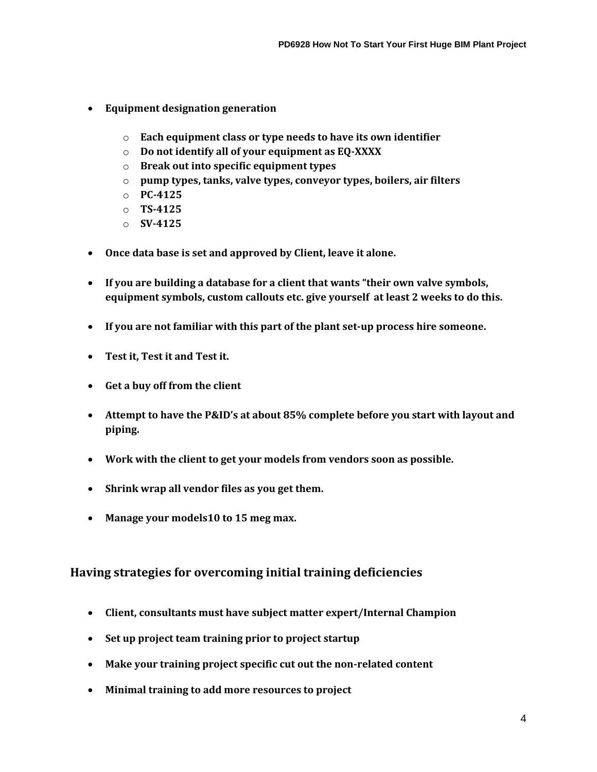- **Equipment designation generation**
	- o **Each equipment class or type needs to have its own identifier**
	- o **Do not identify all of your equipment as EQ-XXXX**
	- o **Break out into specific equipment types**
	- o **pump types, tanks, valve types, conveyor types, boilers, air filters**
	- o **PC-4125**
	- o **TS-4125**
	- o **SV-4125**
- **Once data base is set and approved by Client, leave it alone.**
- **If you are building a database for a client that wants "their own valve symbols, equipment symbols, custom callouts etc. give yourself at least 2 weeks to do this.**
- **If you are not familiar with this part of the plant set-up process hire someone.**
- **Test it, Test it and Test it.**
- **Get a buy off from the client**
- **Attempt to have the P&ID's at about 85% complete before you start with layout and piping.**
- **Work with the client to get your models from vendors soon as possible.**
- **Shrink wrap all vendor files as you get them.**
- **Manage your models10 to 15 meg max.**

## **Having strategies for overcoming initial training deficiencies**

- **Client, consultants must have subject matter expert/Internal Champion**
- **Set up project team training prior to project startup**
- **Make your training project specific cut out the non-related content**
- **Minimal training to add more resources to project**